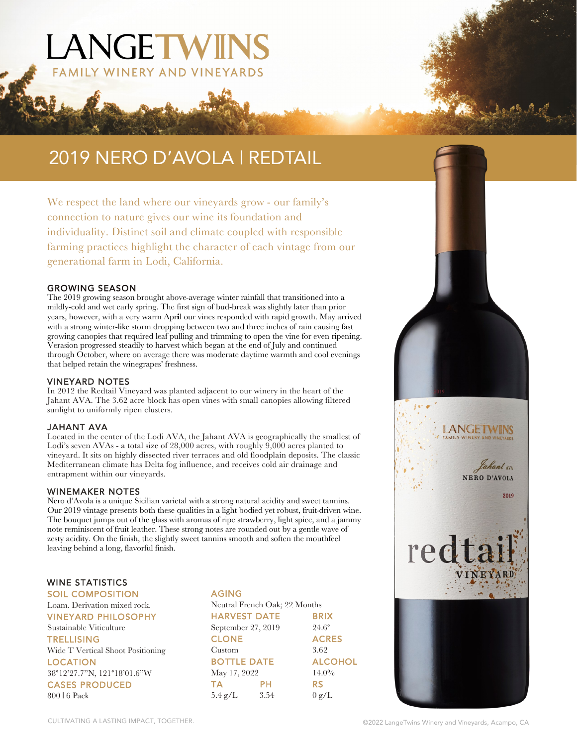# 2019 NERO D'AVOLA | REDTAIL

WINERY AND VINEYARDS

LANGETWINS

We respect the land where our vineyards grow - our family's connection to nature gives our wine its foundation and individuality. Distinct soil and climate coupled with responsible farming practices highlight the character of each vintage from our generational farm in Lodi, California.

#### GROWING SEASON

The 2019 growing season brought above-average winter rainfall that transitioned into a mildly-cold and wet early spring. The first sign of bud-break was slightly later than prior years, however, with a very warm Apr**i**l our vines responded with rapid growth. May arrived with a strong winter-like storm dropping between two and three inches of rain causing fast growing canopies that required leaf pulling and trimming to open the vine for even ripening. Verasion progressed steadily to harvest which began at the end of July and continued through October, where on average there was moderate daytime warmth and cool evenings that helped retain the winegrapes' freshness.

#### VINEYARD NOTES

In 2012 the Redtail Vineyard was planted adjacent to our winery in the heart of the Jahant AVA. The 3.62 acre block has open vines with small canopies allowing filtered sunlight to uniformly ripen clusters.

#### JAHANT AVA

Located in the center of the Lodi AVA, the Jahant AVA is geographically the smallest of Lodi's seven AVAs - a total size of 28,000 acres, with roughly 9,000 acres planted to vineyard. It sits on highly dissected river terraces and old floodplain deposits. The classic Mediterranean climate has Delta fog influence, and receives cold air drainage and entrapment within our vineyards.

#### WINEMAKER NOTES

Nero d'Avola is a unique Sicilian varietal with a strong natural acidity and sweet tannins. Our 2019 vintage presents both these qualities in a light bodied yet robust, fruit-driven wine. The bouquet jumps out of the glass with aromas of ripe strawberry, light spice, and a jammy note reminiscent of fruit leather. These strong notes are rounded out by a gentle wave of zesty acidity. On the finish, the slightly sweet tannins smooth and soften the mouthfeel leaving behind a long, flavorful finish.

#### WINE STATISTICS

SOIL COMPOSITION Loam. Derivation mixed rock. VINEYARD PHILOSOPHY Sustainable Viticulture **TRELLISING** Wide T Vertical Shoot Positioning LOCATION 38°12'27.7"N, 121°18'01.6"W CASES PRODUCED 800 | 6 Pack

## AGING

|                     | Neutral French Oak; 22 Months |                |
|---------------------|-------------------------------|----------------|
| <b>HARVEST DATE</b> |                               | <b>BRIX</b>    |
| September 27, 2019  |                               | $24.6^\circ$   |
| <b>CLONE</b>        |                               | <b>ACRES</b>   |
| Custom              |                               | 3.62           |
| <b>BOTTLE DATE</b>  |                               | <b>ALCOHOL</b> |
| May 17, 2022        |                               | $14.0\%$       |
| <b>TA</b>           | PН                            | RS             |
| $5.4$ g/L           | 3.54                          | 0 g/L          |